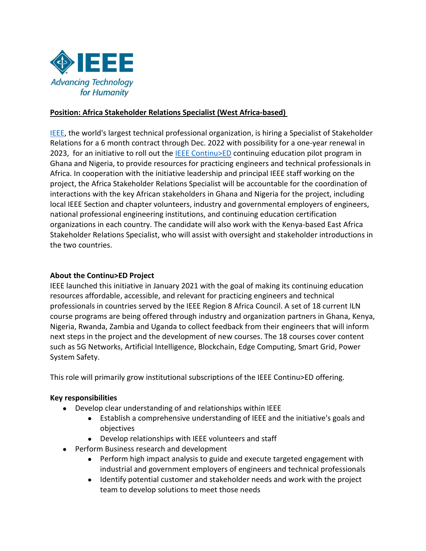

# **Position: Africa Stakeholder Relations Specialist (West Africa-based)**

[IEEE,](https://www.ieee.org/) the world's largest technical professional organization, is hiring a Specialist of Stakeholder Relations for a 6 month contract through Dec. 2022 with possibility for a one-year renewal in 2023, for an initiative to roll out the [IEEE Continu>ED](https://www.ieee.org/education/continuing-education-africa.html) continuing education pilot program in Ghana and Nigeria, to provide resources for practicing engineers and technical professionals in Africa. In cooperation with the initiative leadership and principal IEEE staff working on the project, the Africa Stakeholder Relations Specialist will be accountable for the coordination of interactions with the key African stakeholders in Ghana and Nigeria for the project, including local IEEE Section and chapter volunteers, industry and governmental employers of engineers, national professional engineering institutions, and continuing education certification organizations in each country. The candidate will also work with the Kenya-based East Africa Stakeholder Relations Specialist, who will assist with oversight and stakeholder introductions in the two countries.

#### **About the Continu>ED Project**

IEEE launched this initiative in January 2021 with the goal of making its continuing education resources affordable, accessible, and relevant for practicing engineers and technical professionals in countries served by the IEEE Region 8 Africa Council. A set of 18 current ILN course programs are being offered through industry and organization partners in Ghana, Kenya, Nigeria, Rwanda, Zambia and Uganda to collect feedback from their engineers that will inform next steps in the project and the development of new courses. The 18 courses cover content such as 5G Networks, Artificial Intelligence, Blockchain, Edge Computing, Smart Grid, Power System Safety.

This role will primarily grow institutional subscriptions of the IEEE Continu>ED offering.

# **Key responsibilities**

- Develop clear understanding of and relationships within IEEE
	- Establish a comprehensive understanding of IEEE and the initiative's goals and objectives
	- Develop relationships with IEEE volunteers and staff
- Perform Business research and development
	- Perform high impact analysis to guide and execute targeted engagement with industrial and government employers of engineers and technical professionals
	- Identify potential customer and stakeholder needs and work with the project team to develop solutions to meet those needs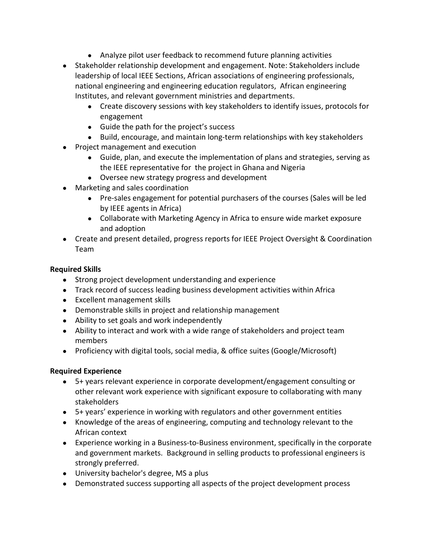- Analyze pilot user feedback to recommend future planning activities
- Stakeholder relationship development and engagement. Note: Stakeholders include leadership of local IEEE Sections, African associations of engineering professionals, national engineering and engineering education regulators, African engineering Institutes, and relevant government ministries and departments.
	- Create discovery sessions with key stakeholders to identify issues, protocols for engagement
	- Guide the path for the project's success
	- Build, encourage, and maintain long-term relationships with key stakeholders
- Project management and execution
	- Guide, plan, and execute the implementation of plans and strategies, serving as the IEEE representative for the project in Ghana and Nigeria
	- Oversee new strategy progress and development
- Marketing and sales coordination
	- Pre-sales engagement for potential purchasers of the courses (Sales will be led by IEEE agents in Africa)
	- Collaborate with Marketing Agency in Africa to ensure wide market exposure and adoption
- Create and present detailed, progress reports for IEEE Project Oversight & Coordination Team

# **Required Skills**

- Strong project development understanding and experience
- Track record of success leading business development activities within Africa
- Excellent management skills
- Demonstrable skills in project and relationship management
- Ability to set goals and work independently
- Ability to interact and work with a wide range of stakeholders and project team members
- Proficiency with digital tools, social media, & office suites (Google/Microsoft)

# **Required Experience**

- 5+ years relevant experience in corporate development/engagement consulting or other relevant work experience with significant exposure to collaborating with many stakeholders
- 5+ years' experience in working with regulators and other government entities
- Knowledge of the areas of engineering, computing and technology relevant to the African context
- Experience working in a Business-to-Business environment, specifically in the corporate and government markets. Background in selling products to professional engineers is strongly preferred.
- University bachelor's degree, MS a plus
- Demonstrated success supporting all aspects of the project development process